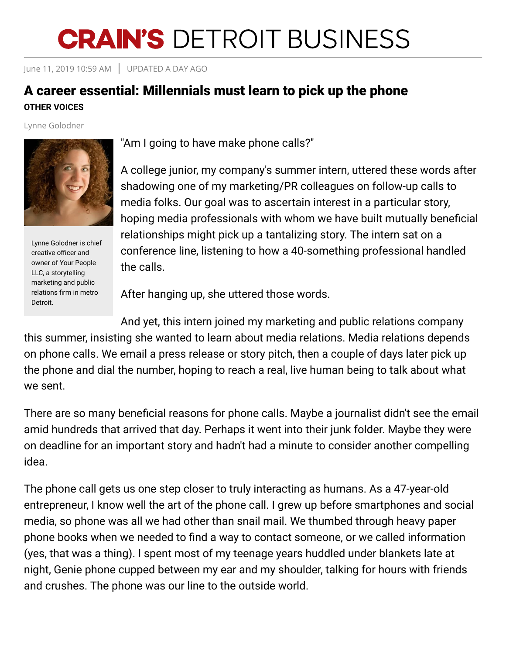## **CRAIN'S DETROIT BUSINESS**

June 11, 2019 10:59 AM UPDATED A DAY AGO

## A career essential: Millennials must learn to pick up the phone **OTHER VOICES**

Lynne Golodner



Lynne Golodner is chief creative officer and owner of Your People LLC, a storytelling marketing and public relations firm in metro Detroit.

"Am I going to have make phone calls?"

A college junior, my company's summer intern, uttered these words after shadowing one of my marketing/PR colleagues on follow-up calls to media folks. Our goal was to ascertain interest in a particular story, hoping media professionals with whom we have built mutually beneficial relationships might pick up a tantalizing story. The intern sat on a conference line, listening to how a 40-something professional handled the calls.

After hanging up, she uttered those words.

And yet, this intern joined my marketing and public relations company this summer, insisting she wanted to learn about media relations. Media relations depends on phone calls. We email a press release or story pitch, then a couple of days later pick up the phone and dial the number, hoping to reach a real, live human being to talk about what we sent.

There are so many beneficial reasons for phone calls. Maybe a journalist didn't see the email amid hundreds that arrived that day. Perhaps it went into their junk folder. Maybe they were on deadline for an important story and hadn't had a minute to consider another compelling idea.

The phone call gets us one step closer to truly interacting as humans. As a 47-year-old entrepreneur, I know well the art of the phone call. I grew up before smartphones and social media, so phone was all we had other than snail mail. We thumbed through heavy paper phone books when we needed to find a way to contact someone, or we called information (yes, that was a thing). I spent most of my teenage years huddled under blankets late at night, Genie phone cupped between my ear and my shoulder, talking for hours with friends and crushes. The phone was our line to the outside world.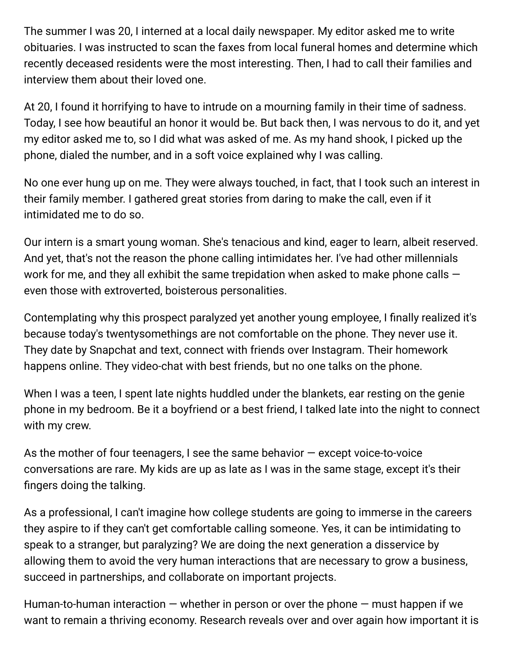The summer I was 20, I interned at a local daily newspaper. My editor asked me to write obituaries. I was instructed to scan the faxes from local funeral homes and determine which recently deceased residents were the most interesting. Then, I had to call their families and interview them about their loved one.

At 20, I found it horrifying to have to intrude on a mourning family in their time of sadness. Today, I see how beautiful an honor it would be. But back then, I was nervous to do it, and yet my editor asked me to, so I did what was asked of me. As my hand shook, I picked up the phone, dialed the number, and in a soft voice explained why I was calling.

No one ever hung up on me. They were always touched, in fact, that I took such an interest in their family member. I gathered great stories from daring to make the call, even if it intimidated me to do so.

Our intern is a smart young woman. She's tenacious and kind, eager to learn, albeit reserved. And yet, that's not the reason the phone calling intimidates her. I've had other millennials work for me, and they all exhibit the same trepidation when asked to make phone calls  $$ even those with extroverted, boisterous personalities.

Contemplating why this prospect paralyzed yet another young employee, I finally realized it's because today's twentysomethings are not comfortable on the phone. They never use it. They date by Snapchat and text, connect with friends over Instagram. Their homework happens online. They video-chat with best friends, but no one talks on the phone.

When I was a teen, I spent late nights huddled under the blankets, ear resting on the genie phone in my bedroom. Be it a boyfriend or a best friend, I talked late into the night to connect with my crew.

As the mother of four teenagers, I see the same behavior — except voice-to-voice conversations are rare. My kids are up as late as I was in the same stage, except it's their fingers doing the talking.

As a professional, I can't imagine how college students are going to immerse in the careers they aspire to if they can't get comfortable calling someone. Yes, it can be intimidating to speak to a stranger, but paralyzing? We are doing the next generation a disservice by allowing them to avoid the very human interactions that are necessary to grow a business, succeed in partnerships, and collaborate on important projects.

Human-to-human interaction  $-$  whether in person or over the phone  $-$  must happen if we want to remain a thriving economy. Research reveals over and over again how important it is